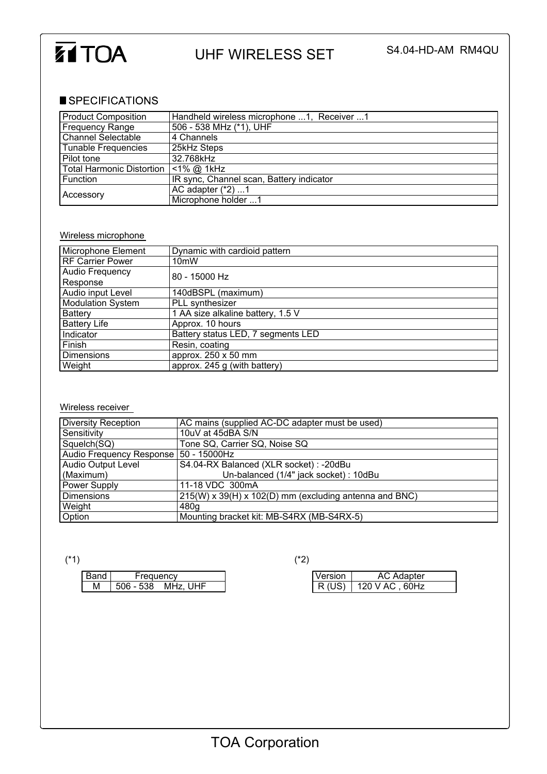

## UHF WIRELESS SET S4.04-HD-AM RM4QU

## SPECIFICATIONS

| <b>Product Composition</b>       | Handheld wireless microphone 1, Receiver 1 |  |
|----------------------------------|--------------------------------------------|--|
| Frequency Range                  | 506 - 538 MHz (*1), UHF                    |  |
| <b>Channel Selectable</b>        | 4 Channels                                 |  |
| Tunable Frequencies              | 25kHz Steps                                |  |
| Pilot tone                       | 32.768kHz                                  |  |
| <b>Total Harmonic Distortion</b> | $<$ 1% @ 1kHz                              |  |
| Function                         | IR sync, Channel scan, Battery indicator   |  |
| Accessory                        | AC adapter $(*2)$ 1                        |  |
|                                  | Microphone holder 1                        |  |

## Wireless microphone

| Microphone Element       | Dynamic with cardioid pattern      |  |
|--------------------------|------------------------------------|--|
| <b>RF Carrier Power</b>  | 10 <sub>m</sub> W                  |  |
| Audio Frequency          | 80 - 15000 Hz                      |  |
| Response                 |                                    |  |
| Audio input Level        | 140dBSPL (maximum)                 |  |
| <b>Modulation System</b> | PLL synthesizer                    |  |
| <b>Battery</b>           | 1 AA size alkaline battery, 1.5 V  |  |
| <b>Battery Life</b>      | Approx. 10 hours                   |  |
| Indicator                | Battery status LED, 7 segments LED |  |
| Finish                   | Resin, coating                     |  |
| <b>Dimensions</b>        | approx. 250 x 50 mm                |  |
| Weight                   | approx. 245 g (with battery)       |  |

## Wireless receiver

| Diversity Reception                     | AC mains (supplied AC-DC adapter must be used)         |
|-----------------------------------------|--------------------------------------------------------|
| Sensitivity                             | 10uV at 45dBA S/N                                      |
| Squelch(SQ)                             | Tone SQ, Carrier SQ, Noise SQ                          |
| Audio Frequency Response   50 - 15000Hz |                                                        |
| Audio Output Level                      | S4.04-RX Balanced (XLR socket) : -20dBu                |
| (Maximum)                               | Un-balanced (1/4" jack socket) : 10dBu                 |
| Power Supply                            | 11-18 VDC 300mA                                        |
| l Dimensions                            | 215(W) x 39(H) x 102(D) mm (excluding antenna and BNC) |
| Weight                                  | 480g                                                   |
| Option                                  | Mounting bracket kit: MB-S4RX (MB-S4RX-5)              |

| Band     | requency                          | Version |  |
|----------|-----------------------------------|---------|--|
|          |                                   |         |  |
| . .<br>м | <b>JHF</b><br>$506 - 538$<br>MHZ. | (110)   |  |
|          |                                   |         |  |

(\*1)  $(2)$ 

| Version | <b>AC Adapter</b> |
|---------|-------------------|
| R(US)   | 120 V AC , 60Hz   |